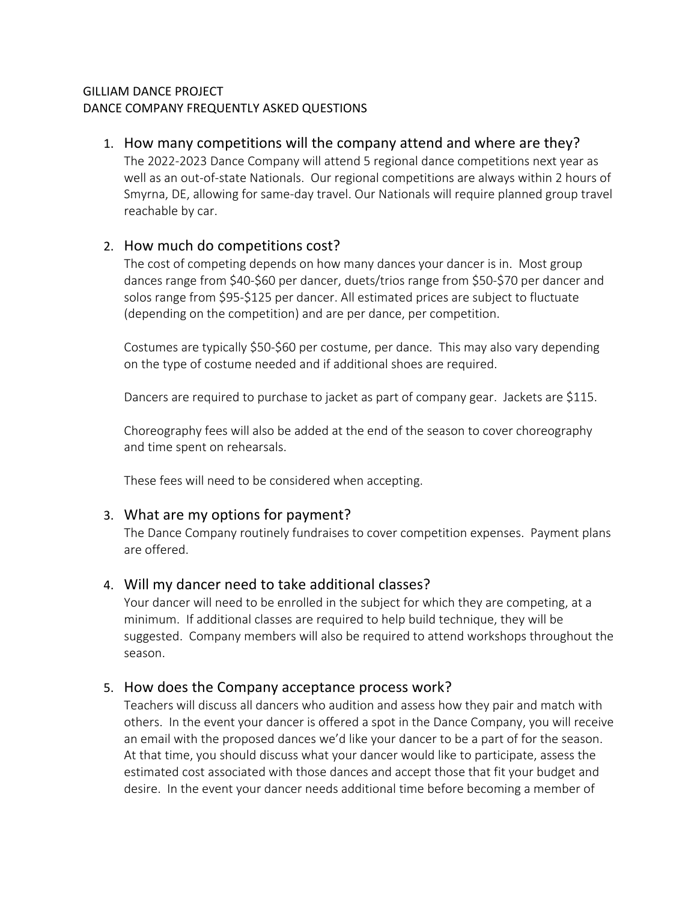### GILLIAM DANCE PROJECT DANCE COMPANY FREQUENTLY ASKED QUESTIONS

### 1. How many competitions will the company attend and where are they?

The 2022-2023 Dance Company will attend 5 regional dance competitions next year as well as an out-of-state Nationals. Our regional competitions are always within 2 hours of Smyrna, DE, allowing for same-day travel. Our Nationals will require planned group travel reachable by car.

# 2. How much do competitions cost?

The cost of competing depends on how many dances your dancer is in. Most group dances range from \$40-\$60 per dancer, duets/trios range from \$50-\$70 per dancer and solos range from \$95-\$125 per dancer. All estimated prices are subject to fluctuate (depending on the competition) and are per dance, per competition.

Costumes are typically \$50-\$60 per costume, per dance. This may also vary depending on the type of costume needed and if additional shoes are required.

Dancers are required to purchase to jacket as part of company gear. Jackets are \$115.

Choreography fees will also be added at the end of the season to cover choreography and time spent on rehearsals.

These fees will need to be considered when accepting.

# 3. What are my options for payment?

The Dance Company routinely fundraises to cover competition expenses. Payment plans are offered.

# 4. Will my dancer need to take additional classes?

Your dancer will need to be enrolled in the subject for which they are competing, at a minimum. If additional classes are required to help build technique, they will be suggested. Company members will also be required to attend workshops throughout the season.

# 5. How does the Company acceptance process work?

Teachers will discuss all dancers who audition and assess how they pair and match with others. In the event your dancer is offered a spot in the Dance Company, you will receive an email with the proposed dances we'd like your dancer to be a part of for the season. At that time, you should discuss what your dancer would like to participate, assess the estimated cost associated with those dances and accept those that fit your budget and desire. In the event your dancer needs additional time before becoming a member of